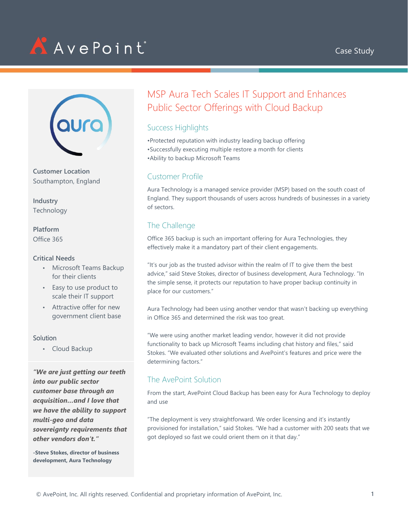





**Customer Location** Southampton, England

**Industry** Technology

**Platform** Office 365

#### **Critical Needs**

- Microsoft Teams Backup for their clients
- Easy to use product to scale their IT support
- Attractive offer for new government client base

#### **Solution**

• Cloud Backup

*"We are just getting our teeth into our public sector customer base through an acquisition…and I love that we have the ability to support multi-geo and data sovereignty requirements that other vendors don't."*

**-Steve Stokes, director of business development, Aura Technology** 

# MSP Aura Tech Scales IT Support and Enhances Public Sector Offerings with Cloud Backup

## Success Highlights

•Protected reputation with industry leading backup offering •Successfully executing multiple restore a month for clients •Ability to backup Microsoft Teams

#### Customer Profile

Aura Technology is a managed service provider (MSP) based on the south coast of England. They support thousands of users across hundreds of businesses in a variety of sectors.

# The Challenge

Office 365 backup is such an important offering for Aura Technologies, they effectively make it a mandatory part of their client engagements.

"It's our job as the trusted advisor within the realm of IT to give them the best advice," said Steve Stokes, director of business development, Aura Technology. "In the simple sense, it protects our reputation to have proper backup continuity in place for our customers."

Aura Technology had been using another vendor that wasn't backing up everything in Office 365 and determined the risk was too great.

"We were using another market leading vendor, however it did not provide functionality to back up Microsoft Teams including chat history and files," said Stokes. "We evaluated other solutions and AvePoint's features and price were the determining factors."

# The AvePoint Solution

From the start, AvePoint Cloud Backup has been easy for Aura Technology to deploy and use

"The deployment is very straightforward. We order licensing and it's instantly provisioned for installation," said Stokes. "We had a customer with 200 seats that we got deployed so fast we could orient them on it that day."